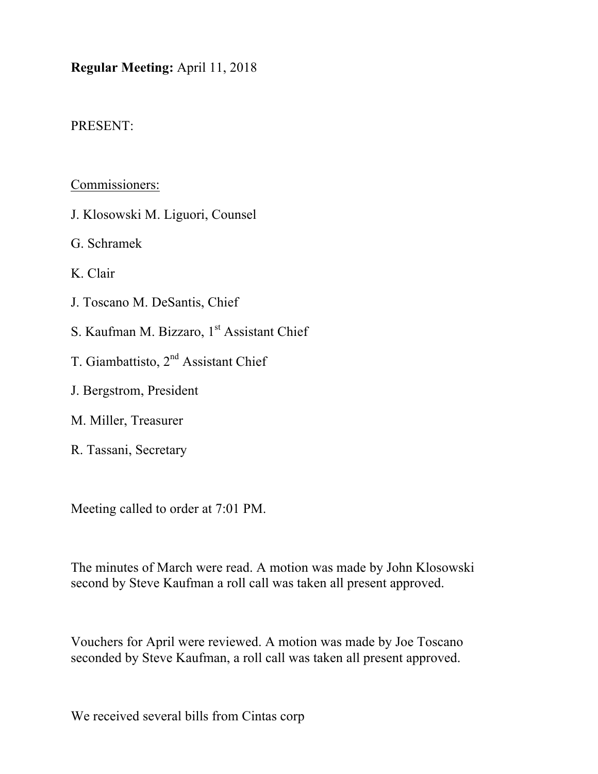## **Regular Meeting:** April 11, 2018

## PRESENT:

## Commissioners:

- J. Klosowski M. Liguori, Counsel
- G. Schramek
- K. Clair
- J. Toscano M. DeSantis, Chief
- S. Kaufman M. Bizzaro, 1<sup>st</sup> Assistant Chief
- T. Giambattisto, 2<sup>nd</sup> Assistant Chief
- J. Bergstrom, President
- M. Miller, Treasurer
- R. Tassani, Secretary

Meeting called to order at 7:01 PM.

The minutes of March were read. A motion was made by John Klosowski second by Steve Kaufman a roll call was taken all present approved.

Vouchers for April were reviewed. A motion was made by Joe Toscano seconded by Steve Kaufman, a roll call was taken all present approved.

We received several bills from Cintas corp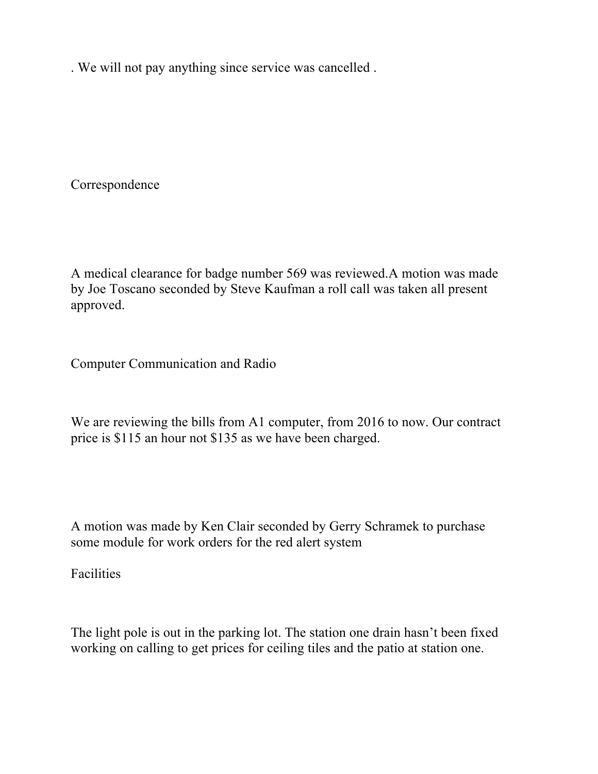. We will not pay anything since service was cancelled .

Correspondence

A medical clearance for badge number 569 was reviewed.A motion was made by Joe Toscano seconded by Steve Kaufman a roll call was taken all present approved.

Computer Communication and Radio

We are reviewing the bills from A1 computer, from 2016 to now. Our contract price is \$115 an hour not \$135 as we have been charged.

A motion was made by Ken Clair seconded by Gerry Schramek to purchase some module for work orders for the red alert system

Facilities

The light pole is out in the parking lot. The station one drain hasn't been fixed working on calling to get prices for ceiling tiles and the patio at station one.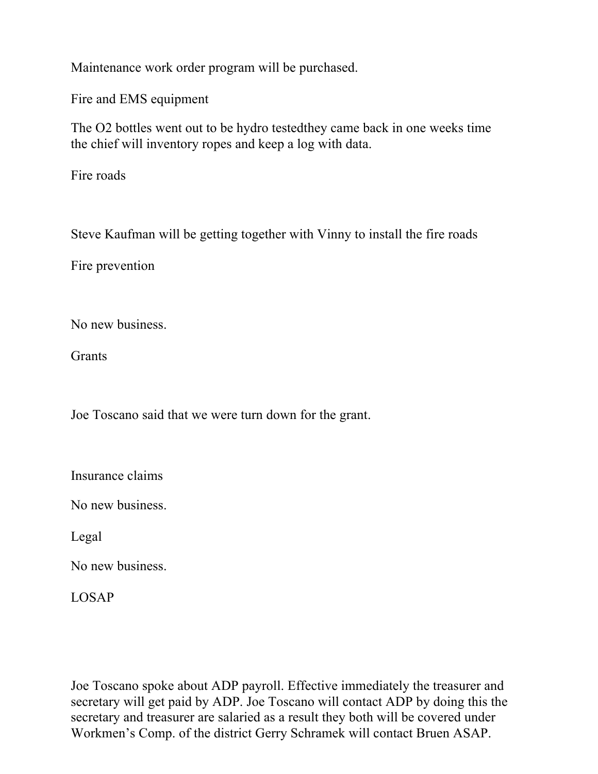Maintenance work order program will be purchased.

Fire and EMS equipment

The O2 bottles went out to be hydro testedthey came back in one weeks time the chief will inventory ropes and keep a log with data.

Fire roads

Steve Kaufman will be getting together with Vinny to install the fire roads

Fire prevention

No new business.

**Grants** 

Joe Toscano said that we were turn down for the grant.

Insurance claims

No new business.

Legal

No new business.

LOSAP

Joe Toscano spoke about ADP payroll. Effective immediately the treasurer and secretary will get paid by ADP. Joe Toscano will contact ADP by doing this the secretary and treasurer are salaried as a result they both will be covered under Workmen's Comp. of the district Gerry Schramek will contact Bruen ASAP.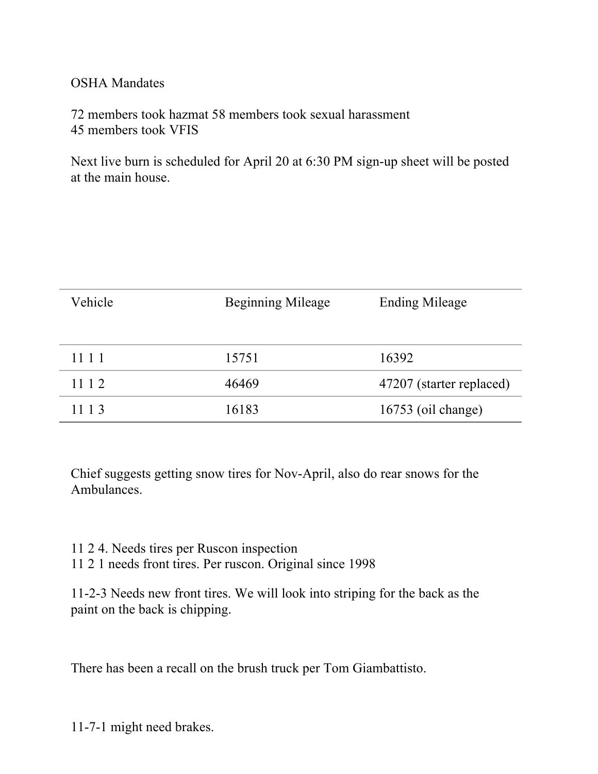## OSHA Mandates

72 members took hazmat 58 members took sexual harassment 45 members took VFIS

Next live burn is scheduled for April 20 at 6:30 PM sign-up sheet will be posted at the main house.

| Vehicle | Beginning Mileage | <b>Ending Mileage</b>    |
|---------|-------------------|--------------------------|
| 1111    | 15751             | 16392                    |
| 11 1 2  | 46469             | 47207 (starter replaced) |
| 11 1 3  | 16183             | 16753 (oil change)       |

Chief suggests getting snow tires for Nov-April, also do rear snows for the Ambulances.

- 11 2 4. Needs tires per Ruscon inspection
- 11 2 1 needs front tires. Per ruscon. Original since 1998

11-2-3 Needs new front tires. We will look into striping for the back as the paint on the back is chipping.

There has been a recall on the brush truck per Tom Giambattisto.

11-7-1 might need brakes.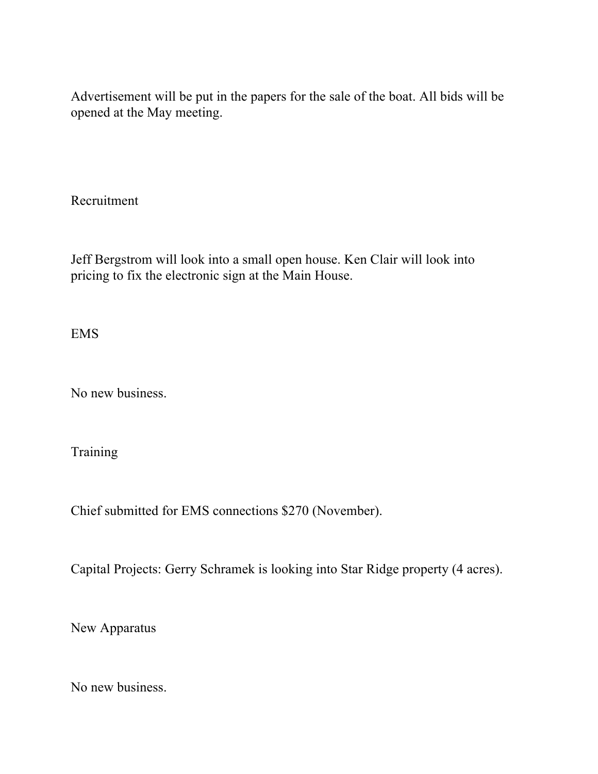Advertisement will be put in the papers for the sale of the boat. All bids will be opened at the May meeting.

Recruitment

Jeff Bergstrom will look into a small open house. Ken Clair will look into pricing to fix the electronic sign at the Main House.

EMS

No new business.

**Training** 

Chief submitted for EMS connections \$270 (November).

Capital Projects: Gerry Schramek is looking into Star Ridge property (4 acres).

New Apparatus

No new business.